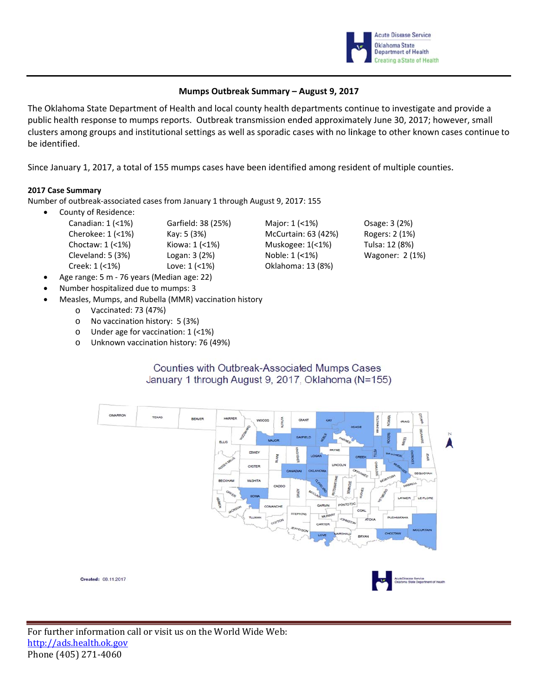

Osage: 3 (2%)

Rogers: 2 (1%)

Tulsa: 12 (8%)

Wagoner: 2 (1%)

### Mumps Outbreak Summary - August 9, 2017

The Oklahoma State Department of Health and local county health departments continue to investigate and provide a public health response to mumps reports. Outbreak transmission ended approximately June 30, 2017; however, small clusters among groups and institutional settings as well as sporadic cases with no linkage to other known cases continue to be identified.

Major: 1 (<1%)

Noble: 1 (<1%)

McCurtain: 63 (42%)

Muskogee: 1(<1%)

Oklahoma: 13 (8%)

Since January 1, 2017, a total of 155 mumps cases have been identified among resident of multiple counties.

#### 2017 Case Summary

Number of outbreak-associated cases from January 1 through August 9, 2017: 155

Garfield: 38 (25%)

- **County of Residence:** Canadian: 1 (<1%)
	- Cherokee: 1 (<1%) Kay: 5 (3%) Choctaw: 1 (<1%) Kiowa: 1 (<1%) Cleveland: 5 (3%) Logan: 3 (2%) Creek: 1 (<1%) Love: 1 (<1%)
- Age range: 5 m 76 years (Median age: 22)
- Number hospitalized due to mumps: 3
- Measles, Mumps, and Rubella (MMR) vaccination history
	- o Vaccinated: 73 (47%)
	- o No vaccination history: 5 (3%)
	- o Under age for vaccination:  $1$  (<1%)
	- o Unknown vaccination history: 76 (49%)

# Counties with Outbreak-Associated Mumps Cases January 1 through August 9, 2017, Oklahoma (N=155)